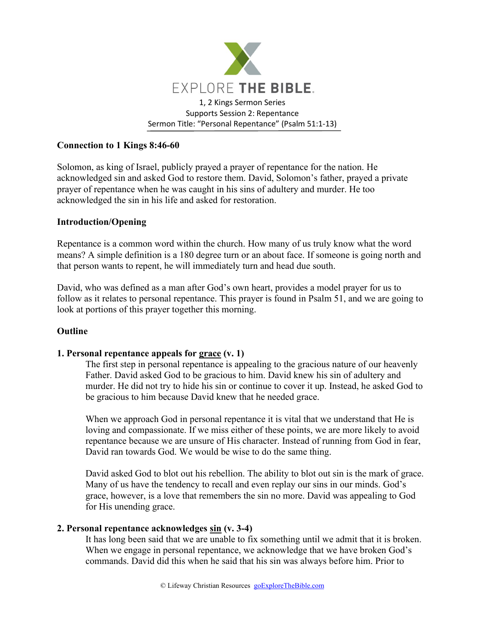

# **Connection to 1 Kings 8:46-60**

Solomon, as king of Israel, publicly prayed a prayer of repentance for the nation. He acknowledged sin and asked God to restore them. David, Solomon's father, prayed a private prayer of repentance when he was caught in his sins of adultery and murder. He too acknowledged the sin in his life and asked for restoration.

### **Introduction/Opening**

Repentance is a common word within the church. How many of us truly know what the word means? A simple definition is a 180 degree turn or an about face. If someone is going north and that person wants to repent, he will immediately turn and head due south.

David, who was defined as a man after God's own heart, provides a model prayer for us to follow as it relates to personal repentance. This prayer is found in Psalm 51, and we are going to look at portions of this prayer together this morning.

#### **Outline**

#### **1. Personal repentance appeals for grace (v. 1)**

The first step in personal repentance is appealing to the gracious nature of our heavenly Father. David asked God to be gracious to him. David knew his sin of adultery and murder. He did not try to hide his sin or continue to cover it up. Instead, he asked God to be gracious to him because David knew that he needed grace.

When we approach God in personal repentance it is vital that we understand that He is loving and compassionate. If we miss either of these points, we are more likely to avoid repentance because we are unsure of His character. Instead of running from God in fear, David ran towards God. We would be wise to do the same thing.

David asked God to blot out his rebellion. The ability to blot out sin is the mark of grace. Many of us have the tendency to recall and even replay our sins in our minds. God's grace, however, is a love that remembers the sin no more. David was appealing to God for His unending grace.

### **2. Personal repentance acknowledges sin (v. 3-4)**

It has long been said that we are unable to fix something until we admit that it is broken. When we engage in personal repentance, we acknowledge that we have broken God's commands. David did this when he said that his sin was always before him. Prior to